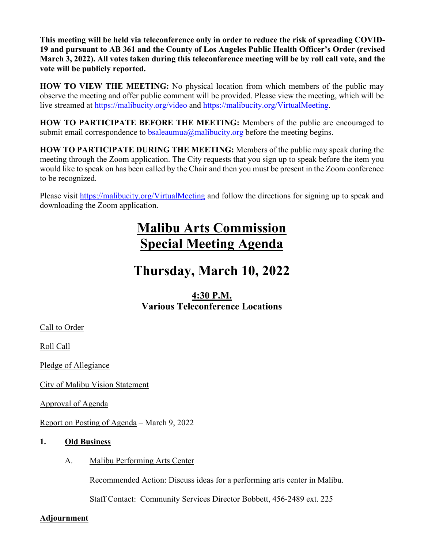**This meeting will be held via teleconference only in order to reduce the risk of spreading COVID-19 and pursuant to AB 361 and the County of Los Angeles Public Health Officer's Order (revised March 3, 2022). All votes taken during this teleconference meeting will be by roll call vote, and the vote will be publicly reported.** 

**HOW TO VIEW THE MEETING:** No physical location from which members of the public may observe the meeting and offer public comment will be provided. Please view the meeting, which will be live streamed at https://malibucity.org/video and https://malibucity.org/VirtualMeeting.

**HOW TO PARTICIPATE BEFORE THE MEETING:** Members of the public are encouraged to submit email correspondence to  $\frac{b \text{ salea} \text{umua}(\hat{\omega}) \text{malibucity} \text{.org}}{c}$  before the meeting begins.

**HOW TO PARTICIPATE DURING THE MEETING:** Members of the public may speak during the meeting through the Zoom application. The City requests that you sign up to speak before the item you would like to speak on has been called by the Chair and then you must be present in the Zoom conference to be recognized.

Please visit https://malibucity.org/VirtualMeeting and follow the directions for signing up to speak and downloading the Zoom application.

## **Malibu Arts Commission Special Meeting Agenda**

# **Thursday, March 10, 2022**

#### **4:30 P.M. Various Teleconference Locations**

Call to Order

Roll Call

Pledge of Allegiance

City of Malibu Vision Statement

Approval of Agenda

Report on Posting of Agenda – March 9, 2022

#### **1. Old Business**

A. Malibu Performing Arts Center

Recommended Action: Discuss ideas for a performing arts center in Malibu.

Staff Contact: Community Services Director Bobbett, 456-2489 ext. 225

#### **Adjournment**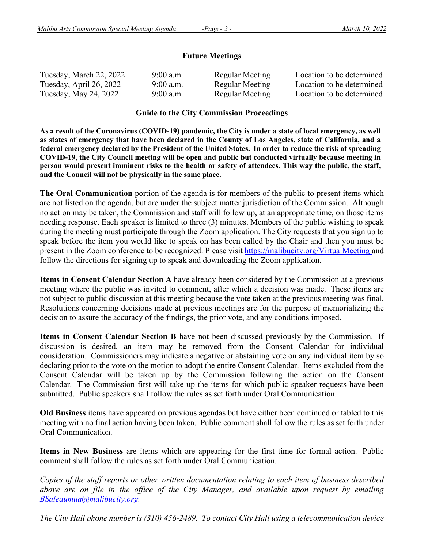#### **Future Meetings**

| Tuesday, March 22, 2022 | $9:00$ a.m. | Regular Meeting | Location to be determined |
|-------------------------|-------------|-----------------|---------------------------|
| Tuesday, April 26, 2022 | $9:00$ a.m. | Regular Meeting | Location to be determined |
| Tuesday, May 24, 2022   | $9:00$ a.m. | Regular Meeting | Location to be determined |

#### **Guide to the City Commission Proceedings**

**As a result of the Coronavirus (COVID-19) pandemic, the City is under a state of local emergency, as well as states of emergency that have been declared in the County of Los Angeles, state of California, and a federal emergency declared by the President of the United States. In order to reduce the risk of spreading COVID-19, the City Council meeting will be open and public but conducted virtually because meeting in person would present imminent risks to the health or safety of attendees. This way the public, the staff, and the Council will not be physically in the same place.** 

**The Oral Communication** portion of the agenda is for members of the public to present items which are not listed on the agenda, but are under the subject matter jurisdiction of the Commission. Although no action may be taken, the Commission and staff will follow up, at an appropriate time, on those items needing response. Each speaker is limited to three (3) minutes. Members of the public wishing to speak during the meeting must participate through the Zoom application. The City requests that you sign up to speak before the item you would like to speak on has been called by the Chair and then you must be present in the Zoom conference to be recognized. Please visit https://malibucity.org/VirtualMeeting and follow the directions for signing up to speak and downloading the Zoom application.

**Items in Consent Calendar Section A** have already been considered by the Commission at a previous meeting where the public was invited to comment, after which a decision was made. These items are not subject to public discussion at this meeting because the vote taken at the previous meeting was final. Resolutions concerning decisions made at previous meetings are for the purpose of memorializing the decision to assure the accuracy of the findings, the prior vote, and any conditions imposed.

**Items in Consent Calendar Section B** have not been discussed previously by the Commission. If discussion is desired, an item may be removed from the Consent Calendar for individual consideration. Commissioners may indicate a negative or abstaining vote on any individual item by so declaring prior to the vote on the motion to adopt the entire Consent Calendar. Items excluded from the Consent Calendar will be taken up by the Commission following the action on the Consent Calendar. The Commission first will take up the items for which public speaker requests have been submitted. Public speakers shall follow the rules as set forth under Oral Communication.

**Old Business** items have appeared on previous agendas but have either been continued or tabled to this meeting with no final action having been taken. Public comment shall follow the rules as set forth under Oral Communication.

**Items in New Business** are items which are appearing for the first time for formal action. Public comment shall follow the rules as set forth under Oral Communication.

*Copies of the staff reports or other written documentation relating to each item of business described above are on file in the office of the City Manager, and available upon request by emailing BSaleaumua@malibucity.org.* 

*The City Hall phone number is (310) 456-2489. To contact City Hall using a telecommunication device*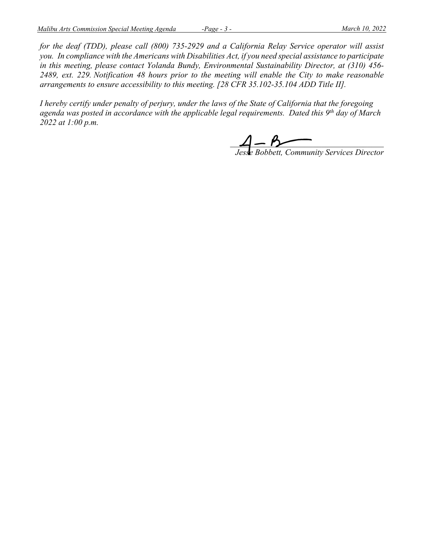*for the deaf (TDD), please call (800) 735-2929 and a California Relay Service operator will assist you. In compliance with the Americans with Disabilities Act, if you need special assistance to participate in this meeting, please contact Yolanda Bundy, Environmental Sustainability Director, at (310) 456- 2489, ext. 229. Notification 48 hours prior to the meeting will enable the City to make reasonable arrangements to ensure accessibility to this meeting. [28 CFR 35.102-35.104 ADD Title II].* 

*I hereby certify under penalty of perjury, under the laws of the State of California that the foregoing agenda was posted in accordance with the applicable legal requirements. Dated this 9th day of March 2022 at 1:00 p.m.* 

 $4 - 5$  –  $2 - 5$  –  $2 - 5$  –  $2 - 5$  –  $2 - 5$  –  $2 - 5$  –  $2 - 5$  –  $2 - 5$  –  $2 - 5$  –  $2 - 5$  –  $2 - 5$  –  $2 - 5$  –  $2 - 5$  –  $2 - 5$  –  $2 - 5$  –  $2 - 5$  –  $2 - 5$  –  $2 - 5$  –  $2 - 5$  –  $2 - 5$  –  $2 - 5$  –  $2 - 5$  –  $2 - 5$  –  $2 - 5$  –  $2 - 5$ 

*Jesse Bobbett, Community Services Director*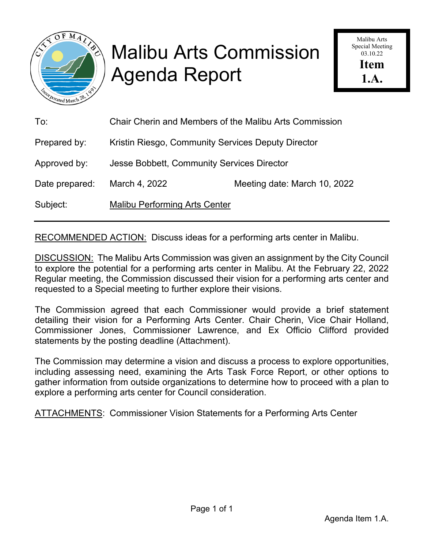

# Malibu Arts Commission Agenda Report

Malibu Arts Special Meeting 03.10.22 **Item 1.A.** 

| To:            | <b>Chair Cherin and Members of the Malibu Arts Commission</b> |                              |  |
|----------------|---------------------------------------------------------------|------------------------------|--|
| Prepared by:   | Kristin Riesgo, Community Services Deputy Director            |                              |  |
| Approved by:   | Jesse Bobbett, Community Services Director                    |                              |  |
| Date prepared: | March 4, 2022                                                 | Meeting date: March 10, 2022 |  |
| Subject:       | <b>Malibu Performing Arts Center</b>                          |                              |  |

RECOMMENDED ACTION: Discuss ideas for a performing arts center in Malibu.

DISCUSSION: The Malibu Arts Commission was given an assignment by the City Council to explore the potential for a performing arts center in Malibu. At the February 22, 2022 Regular meeting, the Commission discussed their vision for a performing arts center and requested to a Special meeting to further explore their visions.

The Commission agreed that each Commissioner would provide a brief statement detailing their vision for a Performing Arts Center. Chair Cherin, Vice Chair Holland, Commissioner Jones, Commissioner Lawrence, and Ex Officio Clifford provided statements by the posting deadline (Attachment).

The Commission may determine a vision and discuss a process to explore opportunities, including assessing need, examining the Arts Task Force Report, or other options to gather information from outside organizations to determine how to proceed with a plan to explore a performing arts center for Council consideration.

ATTACHMENTS: Commissioner Vision Statements for a Performing Arts Center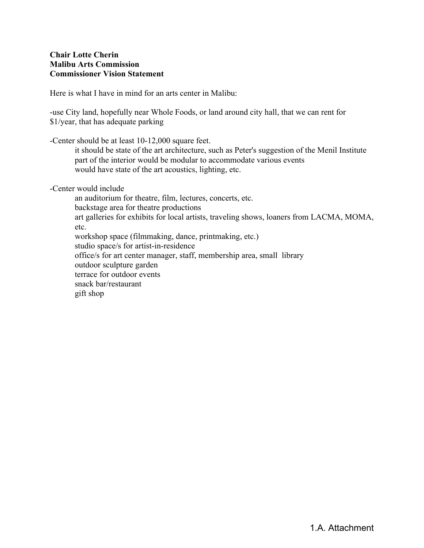#### **Chair Lotte Cherin Malibu Arts Commission Commissioner Vision Statement**

Here is what I have in mind for an arts center in Malibu:

-use City land, hopefully near Whole Foods, or land around city hall, that we can rent for \$1/year, that has adequate parking

-Center should be at least 10-12,000 square feet.

 it should be state of the art architecture, such as Peter's suggestion of the Menil Institute part of the interior would be modular to accommodate various events would have state of the art acoustics, lighting, etc.

-Center would include

 an auditorium for theatre, film, lectures, concerts, etc. backstage area for theatre productions art galleries for exhibits for local artists, traveling shows, loaners from LACMA, MOMA, etc. workshop space (filmmaking, dance, printmaking, etc.) studio space/s for artist-in-residence office/s for art center manager, staff, membership area, small library outdoor sculpture garden terrace for outdoor events snack bar/restaurant gift shop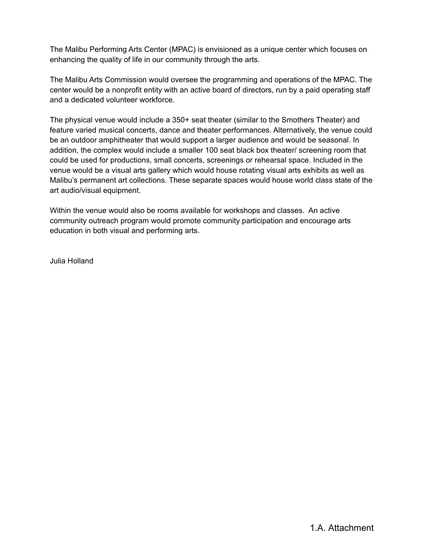The Malibu Performing Arts Center (MPAC) is envisioned as a unique center which focuses on enhancing the quality of life in our community through the arts.

The Malibu Arts Commission would oversee the programming and operations of the MPAC. The center would be a nonprofit entity with an active board of directors, run by a paid operating staff and a dedicated volunteer workforce.

The physical venue would include a 350+ seat theater (similar to the Smothers Theater) and feature varied musical concerts, dance and theater performances. Alternatively, the venue could be an outdoor amphitheater that would support a larger audience and would be seasonal. In addition, the complex would include a smaller 100 seat black box theater/ screening room that could be used for productions, small concerts, screenings or rehearsal space. Included in the venue would be a visual arts gallery which would house rotating visual arts exhibits as well as Malibu's permanent art collections. These separate spaces would house world class state of the art audio/visual equipment.

Within the venue would also be rooms available for workshops and classes. An active community outreach program would promote community participation and encourage arts education in both visual and performing arts.

Julia Holland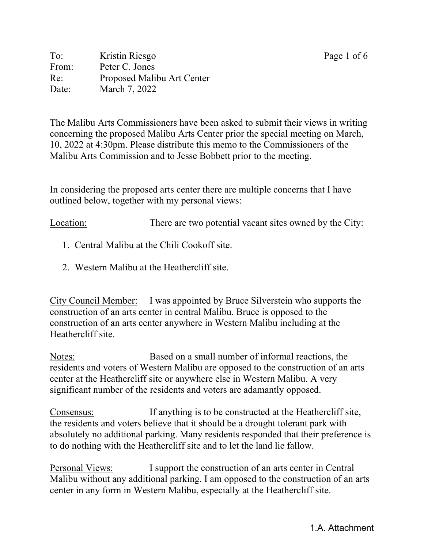To: Kristin Riesgo Page 1 of 6 From: Peter C. Jones Re: Proposed Malibu Art Center Date: March 7, 2022

The Malibu Arts Commissioners have been asked to submit their views in writing concerning the proposed Malibu Arts Center prior the special meeting on March, 10, 2022 at 4:30pm. Please distribute this memo to the Commissioners of the Malibu Arts Commission and to Jesse Bobbett prior to the meeting.

In considering the proposed arts center there are multiple concerns that I have outlined below, together with my personal views:

Location: There are two potential vacant sites owned by the City:

- 1. Central Malibu at the Chili Cookoff site.
- 2. Western Malibu at the Heathercliff site.

City Council Member: I was appointed by Bruce Silverstein who supports the construction of an arts center in central Malibu. Bruce is opposed to the construction of an arts center anywhere in Western Malibu including at the Heathercliff site.

Notes: Based on a small number of informal reactions, the residents and voters of Western Malibu are opposed to the construction of an arts center at the Heathercliff site or anywhere else in Western Malibu. A very significant number of the residents and voters are adamantly opposed.

Consensus: If anything is to be constructed at the Heathercliff site, the residents and voters believe that it should be a drought tolerant park with absolutely no additional parking. Many residents responded that their preference is to do nothing with the Heathercliff site and to let the land lie fallow.

Personal Views: I support the construction of an arts center in Central Malibu without any additional parking. I am opposed to the construction of an arts center in any form in Western Malibu, especially at the Heathercliff site.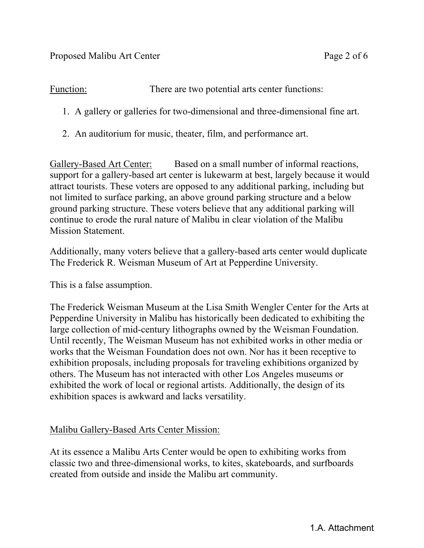Function: There are two potential arts center functions:

- 1. A gallery or galleries for two-dimensional and three-dimensional fine art.
- 2. An auditorium for music, theater, film, and performance art.

Gallery-Based Art Center: Based on a small number of informal reactions, support for a gallery-based art center is lukewarm at best, largely because it would attract tourists. These voters are opposed to any additional parking, including but not limited to surface parking, an above ground parking structure and a below ground parking structure. These voters believe that any additional parking will continue to erode the rural nature of Malibu in clear violation of the Malibu Mission Statement.

Additionally, many voters believe that a gallery-based arts center would duplicate The Frederick R. Weisman Museum of Art at Pepperdine University.

This is a false assumption.

The Frederick Weisman Museum at the Lisa Smith Wengler Center for the Arts at Pepperdine University in Malibu has historically been dedicated to exhibiting the large collection of mid-century lithographs owned by the Weisman Foundation. Until recently, The Weisman Museum has not exhibited works in other media or works that the Weisman Foundation does not own. Nor has it been receptive to exhibition proposals, including proposals for traveling exhibitions organized by others. The Museum has not interacted with other Los Angeles museums or exhibited the work of local or regional artists. Additionally, the design of its exhibition spaces is awkward and lacks versatility.

### Malibu Gallery-Based Arts Center Mission:

At its essence a Malibu Arts Center would be open to exhibiting works from classic two and three-dimensional works, to kites, skateboards, and surfboards created from outside and inside the Malibu art community.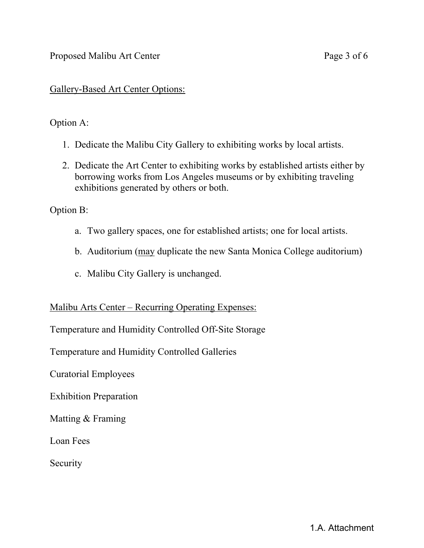#### Proposed Malibu Art Center Page 3 of 6

#### Gallery-Based Art Center Options:

#### Option A:

- 1. Dedicate the Malibu City Gallery to exhibiting works by local artists.
- 2. Dedicate the Art Center to exhibiting works by established artists either by borrowing works from Los Angeles museums or by exhibiting traveling exhibitions generated by others or both.

Option B:

- a. Two gallery spaces, one for established artists; one for local artists.
- b. Auditorium (may duplicate the new Santa Monica College auditorium)
- c. Malibu City Gallery is unchanged.

#### Malibu Arts Center – Recurring Operating Expenses:

Temperature and Humidity Controlled Off-Site Storage

Temperature and Humidity Controlled Galleries

Curatorial Employees

Exhibition Preparation

Matting & Framing

Loan Fees

**Security**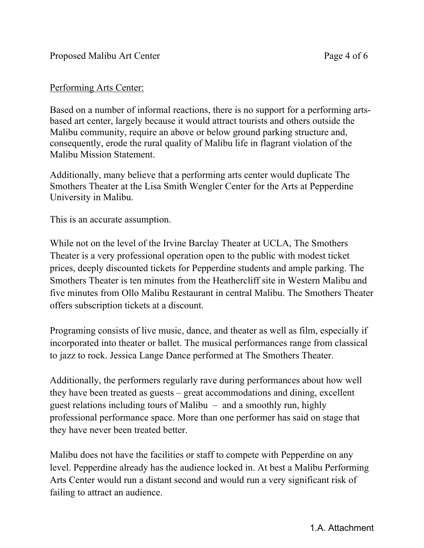#### Performing Arts Center:

Based on a number of informal reactions, there is no support for a performing artsbased art center, largely because it would attract tourists and others outside the Malibu community, require an above or below ground parking structure and, consequently, erode the rural quality of Malibu life in flagrant violation of the Malibu Mission Statement.

Additionally, many believe that a performing arts center would duplicate The Smothers Theater at the Lisa Smith Wengler Center for the Arts at Pepperdine University in Malibu.

This is an accurate assumption.

While not on the level of the Irvine Barclay Theater at UCLA, The Smothers Theater is a very professional operation open to the public with modest ticket prices, deeply discounted tickets for Pepperdine students and ample parking. The Smothers Theater is ten minutes from the Heathercliff site in Western Malibu and five minutes from Ollo Malibu Restaurant in central Malibu. The Smothers Theater offers subscription tickets at a discount.

Programing consists of live music, dance, and theater as well as film, especially if incorporated into theater or ballet. The musical performances range from classical to jazz to rock. Jessica Lange Dance performed at The Smothers Theater.

Additionally, the performers regularly rave during performances about how well they have been treated as guests – great accommodations and dining, excellent guest relations including tours of Malibu – and a smoothly run, highly professional performance space. More than one performer has said on stage that they have never been treated better.

Malibu does not have the facilities or staff to compete with Pepperdine on any level. Pepperdine already has the audience locked in. At best a Malibu Performing Arts Center would run a distant second and would run a very significant risk of failing to attract an audience.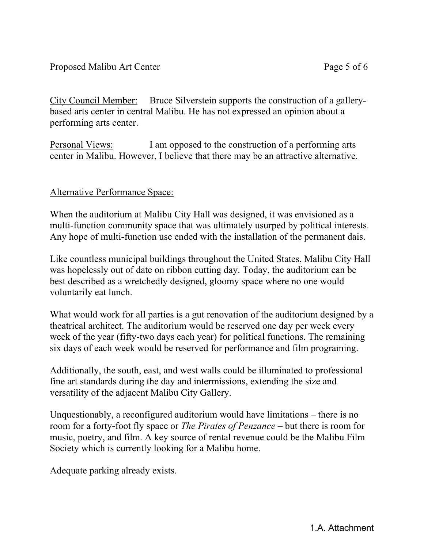City Council Member: Bruce Silverstein supports the construction of a gallerybased arts center in central Malibu. He has not expressed an opinion about a performing arts center.

Personal Views: I am opposed to the construction of a performing arts center in Malibu. However, I believe that there may be an attractive alternative.

### Alternative Performance Space:

When the auditorium at Malibu City Hall was designed, it was envisioned as a multi-function community space that was ultimately usurped by political interests. Any hope of multi-function use ended with the installation of the permanent dais.

Like countless municipal buildings throughout the United States, Malibu City Hall was hopelessly out of date on ribbon cutting day. Today, the auditorium can be best described as a wretchedly designed, gloomy space where no one would voluntarily eat lunch.

What would work for all parties is a gut renovation of the auditorium designed by a theatrical architect. The auditorium would be reserved one day per week every week of the year (fifty-two days each year) for political functions. The remaining six days of each week would be reserved for performance and film programing.

Additionally, the south, east, and west walls could be illuminated to professional fine art standards during the day and intermissions, extending the size and versatility of the adjacent Malibu City Gallery.

Unquestionably, a reconfigured auditorium would have limitations – there is no room for a forty-foot fly space or *The Pirates of Penzance* – but there is room for music, poetry, and film. A key source of rental revenue could be the Malibu Film Society which is currently looking for a Malibu home.

Adequate parking already exists.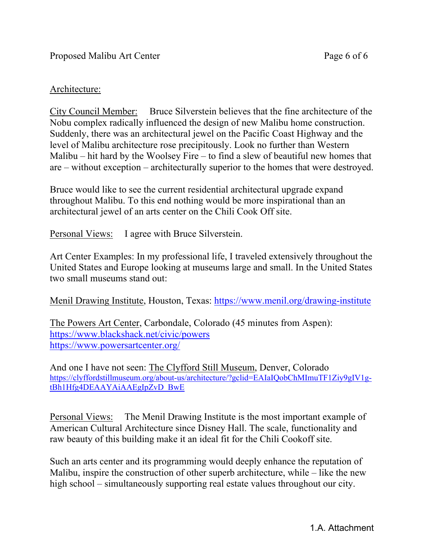#### Architecture:

City Council Member: Bruce Silverstein believes that the fine architecture of the Nobu complex radically influenced the design of new Malibu home construction. Suddenly, there was an architectural jewel on the Pacific Coast Highway and the level of Malibu architecture rose precipitously. Look no further than Western Malibu – hit hard by the Woolsey Fire – to find a slew of beautiful new homes that are – without exception – architecturally superior to the homes that were destroyed.

Bruce would like to see the current residential architectural upgrade expand throughout Malibu. To this end nothing would be more inspirational than an architectural jewel of an arts center on the Chili Cook Off site.

Personal Views: I agree with Bruce Silverstein.

Art Center Examples: In my professional life, I traveled extensively throughout the United States and Europe looking at museums large and small. In the United States two small museums stand out:

Menil Drawing Institute, Houston, Texas: https://www.menil.org/drawing-institute

The Powers Art Center, Carbondale, Colorado (45 minutes from Aspen): https://www.blackshack.net/civic/powers https://www.powersartcenter.org/

And one I have not seen: The Clyfford Still Museum, Denver, Colorado https://clyffordstillmuseum.org/about-us/architecture/?gclid=EAIaIQobChMImuTF1Ziy9gIV1gtBh1Hfg4DEAAYAiAAEgIpZvD\_BwE

Personal Views: The Menil Drawing Institute is the most important example of American Cultural Architecture since Disney Hall. The scale, functionality and raw beauty of this building make it an ideal fit for the Chili Cookoff site.

Such an arts center and its programming would deeply enhance the reputation of Malibu, inspire the construction of other superb architecture, while – like the new high school – simultaneously supporting real estate values throughout our city.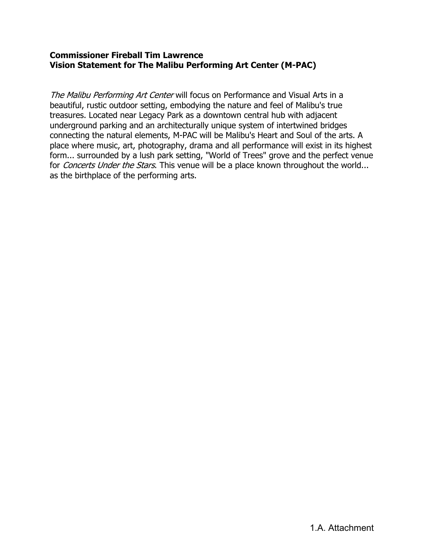#### **Commissioner Fireball Tim Lawrence Vision Statement for The Malibu Performing Art Center (M-PAC)**

The Malibu Performing Art Center will focus on Performance and Visual Arts in a beautiful, rustic outdoor setting, embodying the nature and feel of Malibu's true treasures. Located near Legacy Park as a downtown central hub with adjacent underground parking and an architecturally unique system of intertwined bridges connecting the natural elements, M-PAC will be Malibu's Heart and Soul of the arts. A place where music, art, photography, drama and all performance will exist in its highest form... surrounded by a lush park setting, "World of Trees" grove and the perfect venue for *Concerts Under the Stars*. This venue will be a place known throughout the world... as the birthplace of the performing arts.